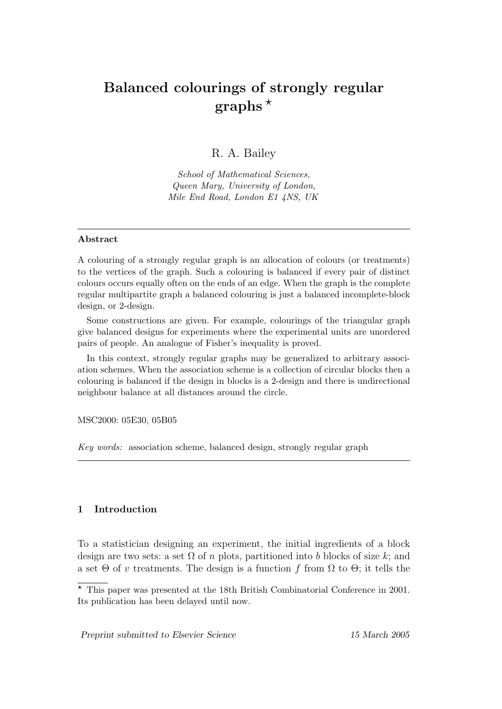# Balanced colourings of strongly regular graphs<sup> $\star$ </sup>

R. A. Bailey

School of Mathematical Sciences, Queen Mary, University of London, Mile End Road, London E1 4NS, UK

## Abstract

A colouring of a strongly regular graph is an allocation of colours (or treatments) to the vertices of the graph. Such a colouring is balanced if every pair of distinct colours occurs equally often on the ends of an edge. When the graph is the complete regular multipartite graph a balanced colouring is just a balanced incomplete-block design, or 2-design.

Some constructions are given. For example, colourings of the triangular graph give balanced designs for experiments where the experimental units are unordered pairs of people. An analogue of Fisher's inequality is proved.

In this context, strongly regular graphs may be generalized to arbitrary association schemes. When the association scheme is a collection of circular blocks then a colouring is balanced if the design in blocks is a 2-design and there is undirectional neighbour balance at all distances around the circle.

MSC2000: 05E30, 05B05

Key words: association scheme, balanced design, strongly regular graph

# 1 Introduction

To a statistician designing an experiment, the initial ingredients of a block design are two sets: a set  $\Omega$  of n plots, partitioned into b blocks of size k; and a set  $\Theta$  of v treatments. The design is a function f from  $\Omega$  to  $\Theta$ ; it tells the

 $*$  This paper was presented at the 18th British Combinatorial Conference in 2001. Its publication has been delayed until now.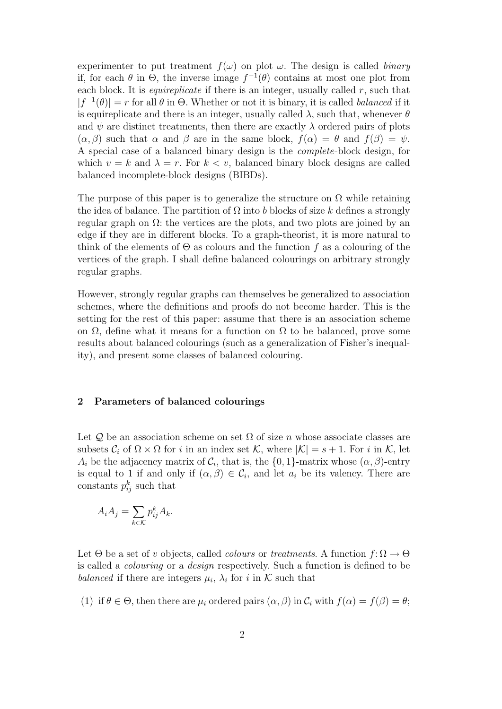experimenter to put treatment  $f(\omega)$  on plot  $\omega$ . The design is called *binary* if, for each  $\theta$  in  $\Theta$ , the inverse image  $f^{-1}(\theta)$  contains at most one plot from each block. It is *equireplicate* if there is an integer, usually called  $r$ , such that  $|f^{-1}(\theta)| = r$  for all  $\theta$  in  $\Theta$ . Whether or not it is binary, it is called *balanced* if it is equireplicate and there is an integer, usually called  $\lambda$ , such that, whenever  $\theta$ and  $\psi$  are distinct treatments, then there are exactly  $\lambda$  ordered pairs of plots  $(\alpha, \beta)$  such that  $\alpha$  and  $\beta$  are in the same block,  $f(\alpha) = \theta$  and  $f(\beta) = \psi$ . A special case of a balanced binary design is the complete-block design, for which  $v = k$  and  $\lambda = r$ . For  $k < v$ , balanced binary block designs are called balanced incomplete-block designs (BIBDs).

The purpose of this paper is to generalize the structure on  $\Omega$  while retaining the idea of balance. The partition of  $\Omega$  into b blocks of size k defines a strongly regular graph on Ω: the vertices are the plots, and two plots are joined by an edge if they are in different blocks. To a graph-theorist, it is more natural to think of the elements of  $\Theta$  as colours and the function f as a colouring of the vertices of the graph. I shall define balanced colourings on arbitrary strongly regular graphs.

However, strongly regular graphs can themselves be generalized to association schemes, where the definitions and proofs do not become harder. This is the setting for the rest of this paper: assume that there is an association scheme on  $\Omega$ , define what it means for a function on  $\Omega$  to be balanced, prove some results about balanced colourings (such as a generalization of Fisher's inequality), and present some classes of balanced colouring.

## 2 Parameters of balanced colourings

Let Q be an association scheme on set  $\Omega$  of size n whose associate classes are subsets  $\mathcal{C}_i$  of  $\Omega \times \Omega$  for i in an index set K, where  $|\mathcal{K}| = s + 1$ . For i in K, let  $A_i$  be the adjacency matrix of  $C_i$ , that is, the  $\{0, 1\}$ -matrix whose  $(\alpha, \beta)$ -entry is equal to 1 if and only if  $(\alpha, \beta) \in C_i$ , and let  $a_i$  be its valency. There are constants  $p_{ij}^k$  such that

$$
A_i A_j = \sum_{k \in \mathcal{K}} p_{ij}^k A_k.
$$

Let  $\Theta$  be a set of v objects, called *colours* or *treatments*. A function  $f: \Omega \to \Theta$ is called a colouring or a design respectively. Such a function is defined to be balanced if there are integers  $\mu_i$ ,  $\lambda_i$  for i in K such that

(1) if  $\theta \in \Theta$ , then there are  $\mu_i$  ordered pairs  $(\alpha, \beta)$  in  $\mathcal{C}_i$  with  $f(\alpha) = f(\beta) = \theta$ ;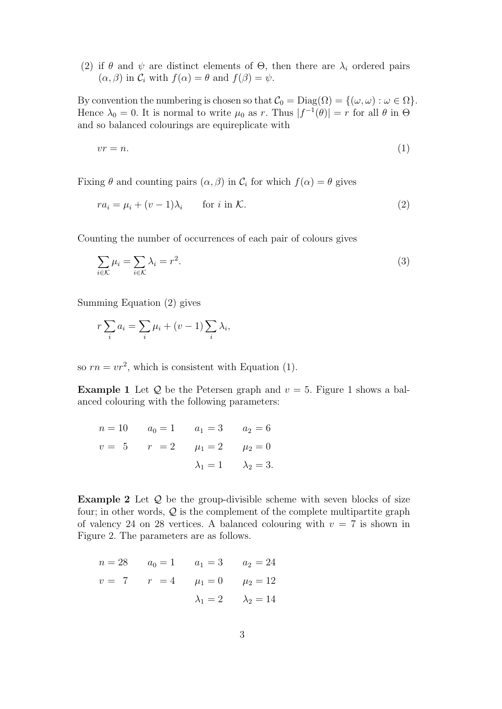(2) if  $\theta$  and  $\psi$  are distinct elements of  $\Theta$ , then there are  $\lambda_i$  ordered pairs  $(\alpha, \beta)$  in  $\mathcal{C}_i$  with  $f(\alpha) = \theta$  and  $f(\beta) = \psi$ .

By convention the numbering is chosen so that  $\mathcal{C}_0 = \text{Diag}(\Omega) = \{(\omega, \omega) : \omega \in \Omega\}.$ Hence  $\lambda_0 = 0$ . It is normal to write  $\mu_0$  as r. Thus  $|f^{-1}(\theta)| = r$  for all  $\theta$  in  $\Theta$ and so balanced colourings are equireplicate with

$$
vr = n.\tag{1}
$$

Fixing  $\theta$  and counting pairs  $(\alpha, \beta)$  in  $\mathcal{C}_i$  for which  $f(\alpha) = \theta$  gives

$$
ra_i = \mu_i + (v - 1)\lambda_i \qquad \text{for } i \text{ in } \mathcal{K}.
$$
 (2)

Counting the number of occurrences of each pair of colours gives

$$
\sum_{i \in \mathcal{K}} \mu_i = \sum_{i \in \mathcal{K}} \lambda_i = r^2.
$$
\n(3)

Summing Equation (2) gives

$$
r\sum_{i} a_i = \sum_{i} \mu_i + (v-1)\sum_{i} \lambda_i,
$$

so  $rn = vr^2$ , which is consistent with Equation (1).

**Example 1** Let  $Q$  be the Petersen graph and  $v = 5$ . Figure 1 shows a balanced colouring with the following parameters:

$$
n = 10
$$
  $a_0 = 1$   $a_1 = 3$   $a_2 = 6$   
 $v = 5$   $r = 2$   $\mu_1 = 2$   $\mu_2 = 0$   
 $\lambda_1 = 1$   $\lambda_2 = 3$ .

**Example 2** Let  $Q$  be the group-divisible scheme with seven blocks of size four; in other words,  $Q$  is the complement of the complete multipartite graph of valency 24 on 28 vertices. A balanced colouring with  $v = 7$  is shown in Figure 2. The parameters are as follows.

$$
n = 28
$$
  $a_0 = 1$   $a_1 = 3$   $a_2 = 24$   
\n $v = 7$   $r = 4$   $\mu_1 = 0$   $\mu_2 = 12$   
\n $\lambda_1 = 2$   $\lambda_2 = 14$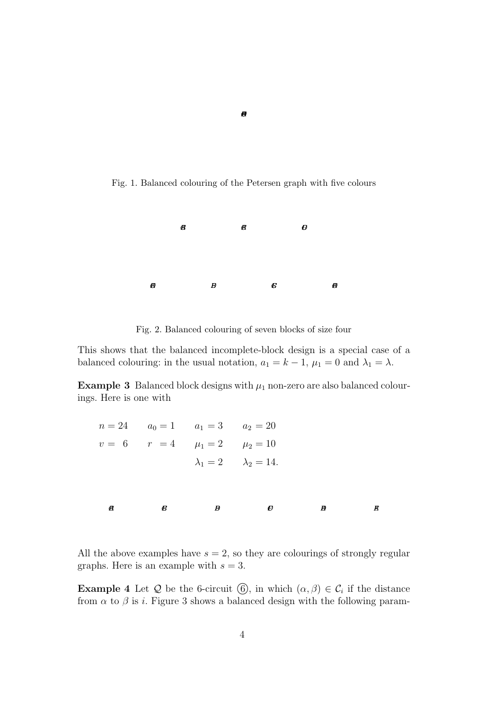Fig. 1. Balanced colouring of the Petersen graph with five colours



Fig. 2. Balanced colouring of seven blocks of size four

This shows that the balanced incomplete-block design is a special case of a balanced colouring: in the usual notation,  $a_1 = k - 1$ ,  $\mu_1 = 0$  and  $\lambda_1 = \lambda$ .

**Example 3** Balanced block designs with  $\mu_1$  non-zero are also balanced colourings. Here is one with

| Ø | B | B                                        | Ð                                  | Đ | Е |
|---|---|------------------------------------------|------------------------------------|---|---|
|   |   |                                          |                                    |   |   |
|   |   |                                          | $\lambda_1 = 2$ $\lambda_2 = 14$ . |   |   |
|   |   | $v = 6$ $r = 4$ $\mu_1 = 2$ $\mu_2 = 10$ |                                    |   |   |
|   |   | $n = 24$ $a_0 = 1$ $a_1 = 3$ $a_2 = 20$  |                                    |   |   |

All the above examples have  $s = 2$ , so they are colourings of strongly regular graphs. Here is an example with  $s = 3$ .

**Example 4** Let Q be the 6-circuit  $(\widehat{0})$ , in which  $(\alpha, \beta) \in C_i$  if the distance from  $\alpha$  to  $\beta$  is i. Figure 3 shows a balanced design with the following param-

 $\boldsymbol{B}$ 

4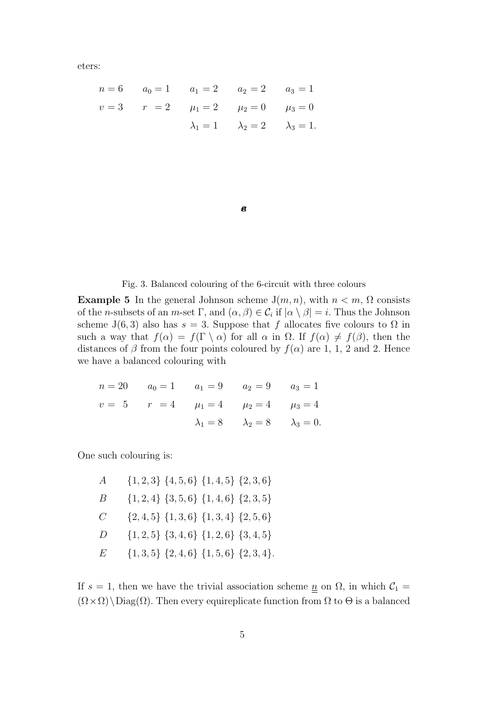eters:

$$
n = 6
$$
  $a_0 = 1$   $a_1 = 2$   $a_2 = 2$   $a_3 = 1$   
\n $v = 3$   $r = 2$   $\mu_1 = 2$   $\mu_2 = 0$   $\mu_3 = 0$   
\n $\lambda_1 = 1$   $\lambda_2 = 2$   $\lambda_3 = 1$ .

 $\boldsymbol{B}$ 

Fig. 3. Balanced colouring of the 6-circuit with three colours

**Example 5** In the general Johnson scheme  $J(m, n)$ , with  $n < m$ ,  $\Omega$  consists of the *n*-subsets of an *m*-set  $\Gamma$ , and  $(\alpha, \beta) \in C_i$  if  $|\alpha \setminus \beta| = i$ . Thus the Johnson scheme J(6,3) also has  $s = 3$ . Suppose that f allocates five colours to  $\Omega$  in such a way that  $f(\alpha) = f(\Gamma \setminus \alpha)$  for all  $\alpha$  in  $\Omega$ . If  $f(\alpha) \neq f(\beta)$ , then the distances of  $\beta$  from the four points coloured by  $f(\alpha)$  are 1, 1, 2 and 2. Hence we have a balanced colouring with

$$
n = 20
$$
  $a_0 = 1$   $a_1 = 9$   $a_2 = 9$   $a_3 = 1$   
\n $v = 5$   $r = 4$   $\mu_1 = 4$   $\mu_2 = 4$   $\mu_3 = 4$   
\n $\lambda_1 = 8$   $\lambda_2 = 8$   $\lambda_3 = 0$ .

One such colouring is:

| $\boldsymbol{A}$ | $\{1,2,3\}$ $\{4,5,6\}$ $\{1,4,5\}$ $\{2,3,6\}$   |
|------------------|---------------------------------------------------|
| B                | $\{1,2,4\} \ \{3,5,6\} \ \{1,4,6\} \ \{2,3,5\}$   |
| $\mathcal{C}$    | $\{2,4,5\}$ $\{1,3,6\}$ $\{1,3,4\}$ $\{2,5,6\}$   |
| D                | $\{1,2,5\}$ $\{3,4,6\}$ $\{1,2,6\}$ $\{3,4,5\}$   |
| E                | $\{1,3,5\}$ $\{2,4,6\}$ $\{1,5,6\}$ $\{2,3,4\}$ . |

If  $s = 1$ , then we have the trivial association scheme  $\underline{n}$  on  $\Omega$ , in which  $C_1 =$  $(\Omega \times \Omega)$  Diag( $\Omega$ ). Then every equireplicate function from  $\Omega$  to  $\Theta$  is a balanced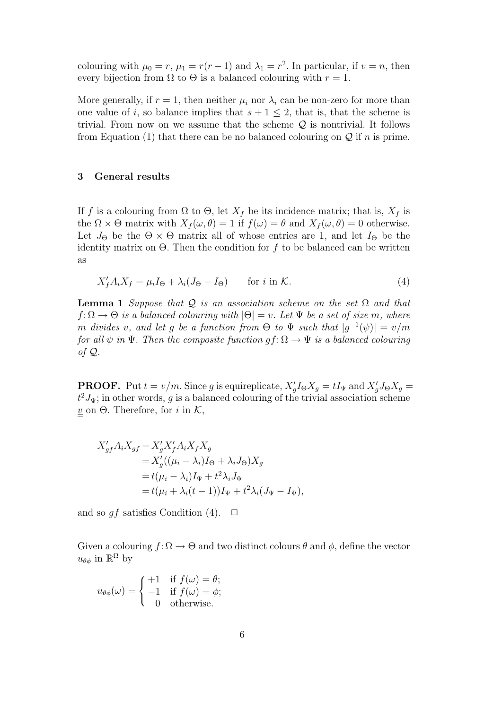colouring with  $\mu_0 = r$ ,  $\mu_1 = r(r-1)$  and  $\lambda_1 = r^2$ . In particular, if  $v = n$ , then every bijection from  $\Omega$  to  $\Theta$  is a balanced colouring with  $r = 1$ .

More generally, if  $r = 1$ , then neither  $\mu_i$  nor  $\lambda_i$  can be non-zero for more than one value of i, so balance implies that  $s + 1 \leq 2$ , that is, that the scheme is trivial. From now on we assume that the scheme  $\mathcal Q$  is nontrivial. It follows from Equation (1) that there can be no balanced colouring on  $\mathcal{Q}$  if n is prime.

#### 3 General results

If f is a colouring from  $\Omega$  to  $\Theta$ , let  $X_f$  be its incidence matrix; that is,  $X_f$  is the  $\Omega \times \Theta$  matrix with  $X_f(\omega, \theta) = 1$  if  $f(\omega) = \theta$  and  $X_f(\omega, \theta) = 0$  otherwise. Let  $J_{\Theta}$  be the  $\Theta \times \Theta$  matrix all of whose entries are 1, and let  $I_{\Theta}$  be the identity matrix on  $\Theta$ . Then the condition for f to be balanced can be written as

$$
X'_f A_i X_f = \mu_i I_\Theta + \lambda_i (J_\Theta - I_\Theta) \qquad \text{for } i \text{ in } \mathcal{K}.\tag{4}
$$

**Lemma 1** Suppose that Q is an association scheme on the set  $\Omega$  and that  $f: \Omega \to \Theta$  is a balanced colouring with  $|\Theta| = v$ . Let  $\Psi$  be a set of size m, where m divides v, and let g be a function from  $\Theta$  to  $\Psi$  such that  $|g^{-1}(\psi)| = v/m$ for all  $\psi$  in  $\Psi$ . Then the composite function  $gf: \Omega \to \Psi$  is a balanced colouring of  $\mathcal{Q}$ .

**PROOF.** Put  $t = v/m$ . Since g is equireplicate,  $X_g' I_{\Theta} X_g = tI_{\Psi}$  and  $X_g' J_{\Theta} X_g =$  $t^2 J_{\Psi}$ ; in other words, g is a balanced colouring of the trivial association scheme <u>v</u> on Θ. Therefore, for *i* in  $\mathcal{K}$ ,

$$
X'_{gf} A_i X_{gf} = X'_g X'_f A_i X_f X_g
$$
  
=  $X'_g ((\mu_i - \lambda_i)I_{\Theta} + \lambda_i J_{\Theta})X_g$   
=  $t(\mu_i - \lambda_i)I_{\Psi} + t^2 \lambda_i J_{\Psi}$   
=  $t(\mu_i + \lambda_i(t-1))I_{\Psi} + t^2 \lambda_i (J_{\Psi} - I_{\Psi}),$ 

and so qf satisfies Condition (4).  $\Box$ 

Given a colouring  $f: \Omega \to \Theta$  and two distinct colours  $\theta$  and  $\phi$ , define the vector  $u_{\theta\phi}$  in  $\mathbb{R}^{\Omega}$  by

$$
u_{\theta\phi}(\omega) = \begin{cases} +1 & \text{if } f(\omega) = \theta; \\ -1 & \text{if } f(\omega) = \phi; \\ 0 & \text{otherwise.} \end{cases}
$$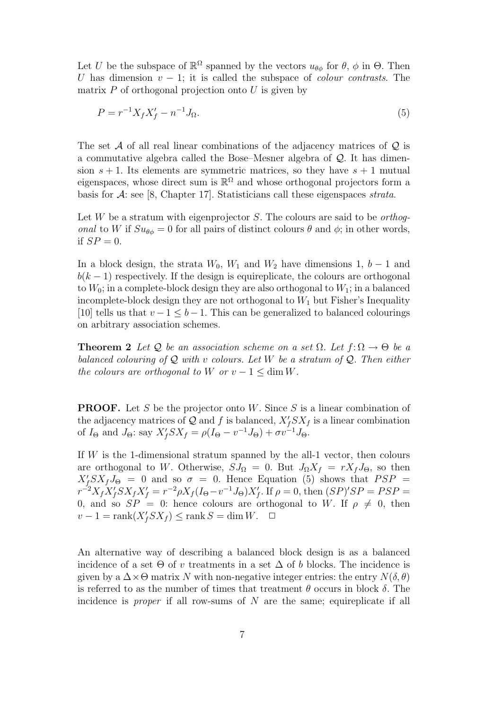Let U be the subspace of  $\mathbb{R}^{\Omega}$  spanned by the vectors  $u_{\theta\phi}$  for  $\theta$ ,  $\phi$  in  $\Theta$ . Then U has dimension  $v - 1$ ; it is called the subspace of *colour contrasts*. The matrix  $P$  of orthogonal projection onto  $U$  is given by

$$
P = r^{-1} X_f X'_f - n^{-1} J_\Omega.
$$
\n(5)

The set  $\mathcal A$  of all real linear combinations of the adjacency matrices of  $\mathcal Q$  is a commutative algebra called the Bose–Mesner algebra of  $\mathcal{Q}$ . It has dimension  $s + 1$ . Its elements are symmetric matrices, so they have  $s + 1$  mutual eigenspaces, whose direct sum is  $\mathbb{R}^{\Omega}$  and whose orthogonal projectors form a basis for A: see [8, Chapter 17]. Statisticians call these eigenspaces strata.

Let  $W$  be a stratum with eigenprojector  $S$ . The colours are said to be *orthog*onal to W if  $Su_{\theta\phi} = 0$  for all pairs of distinct colours  $\theta$  and  $\phi$ ; in other words, if  $SP = 0$ .

In a block design, the strata  $W_0$ ,  $W_1$  and  $W_2$  have dimensions 1,  $b-1$  and  $b(k-1)$  respectively. If the design is equireplicate, the colours are orthogonal to  $W_0$ ; in a complete-block design they are also orthogonal to  $W_1$ ; in a balanced incomplete-block design they are not orthogonal to  $W_1$  but Fisher's Inequality [10] tells us that  $v-1 \leq b-1$ . This can be generalized to balanced colourings on arbitrary association schemes.

**Theorem 2** Let Q be an association scheme on a set  $\Omega$ . Let  $f: \Omega \to \Theta$  be a balanced colouring of  $\mathcal Q$  with v colours. Let W be a stratum of  $\mathcal Q$ . Then either the colours are orthogonal to W or  $v - 1 \le \dim W$ .

**PROOF.** Let S be the projector onto W. Since S is a linear combination of the adjacency matrices of Q and f is balanced,  $X_f' S X_f$  is a linear combination of  $I_{\Theta}$  and  $J_{\Theta}$ : say  $X'_{f} SX_{f} = \rho(I_{\Theta} - v^{-1}J_{\Theta}) + \sigma v^{-1}J_{\Theta}$ .

If  $W$  is the 1-dimensional stratum spanned by the all-1 vector, then colours are orthogonal to W. Otherwise,  $SJ_{\Omega} = 0$ . But  $J_{\Omega}X_f = rX_fJ_{\Theta}$ , so then  $X'_f S X_f J_{\Theta} = 0$  and so  $\sigma = 0$ . Hence Equation (5) shows that  $PSP =$  $r^{-2}X_fX_f'SX_fX_f' = r^{-2}\rho X_f(I_{\Theta} - v^{-1}J_{\Theta})X_f'.$  If  $\rho = 0$ , then  $(SP)'SP = PSP =$ 0, and so  $SP = 0$ : hence colours are orthogonal to W. If  $\rho \neq 0$ , then  $v-1 = \text{rank}(X_f' S X_f) \le \text{rank } S = \dim W. \quad \Box$ 

An alternative way of describing a balanced block design is as a balanced incidence of a set  $\Theta$  of v treatments in a set  $\Delta$  of b blocks. The incidence is given by a  $\Delta \times \Theta$  matrix N with non-negative integer entries: the entry  $N(\delta, \theta)$ is referred to as the number of times that treatment  $\theta$  occurs in block  $\delta$ . The incidence is *proper* if all row-sums of  $N$  are the same; equireplicate if all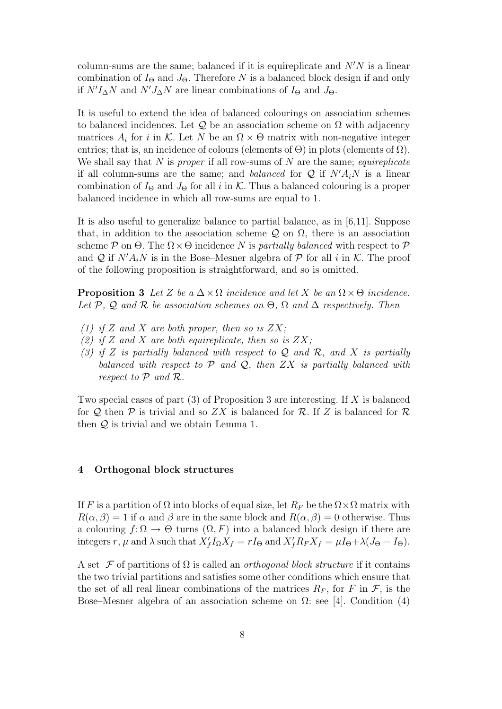column-sums are the same; balanced if it is equireplicate and  $N'N$  is a linear combination of  $I_{\Theta}$  and  $J_{\Theta}$ . Therefore N is a balanced block design if and only if  $N'I_\Delta N$  and  $N'J_\Delta N$  are linear combinations of  $I_\Theta$  and  $J_\Theta$ .

It is useful to extend the idea of balanced colourings on association schemes to balanced incidences. Let  $\mathcal Q$  be an association scheme on  $\Omega$  with adjacency matrices  $A_i$  for i in K. Let N be an  $\Omega \times \Theta$  matrix with non-negative integer entries; that is, an incidence of colours (elements of  $\Theta$ ) in plots (elements of  $\Omega$ ). We shall say that  $N$  is proper if all row-sums of  $N$  are the same; equireplicate if all column-sums are the same; and balanced for  $Q$  if  $N'A_iN$  is a linear combination of  $I_{\Theta}$  and  $J_{\Theta}$  for all i in K. Thus a balanced colouring is a proper balanced incidence in which all row-sums are equal to 1.

It is also useful to generalize balance to partial balance, as in [6,11]. Suppose that, in addition to the association scheme  $\mathcal Q$  on  $\Omega$ , there is an association scheme P on  $\Theta$ . The  $\Omega \times \Theta$  incidence N is partially balanced with respect to P and Q if  $N'A_iN$  is in the Bose–Mesner algebra of  $\mathcal P$  for all i in K. The proof of the following proposition is straightforward, and so is omitted.

**Proposition 3** Let Z be a  $\Delta \times \Omega$  incidence and let X be an  $\Omega \times \Theta$  incidence. Let P, Q and R be association schemes on  $\Theta$ ,  $\Omega$  and  $\Delta$  respectively. Then

- (1) if Z and X are both proper, then so is  $ZX$ ;
- (2) if Z and X are both equireplicate, then so is  $ZX$ ;
- (3) if Z is partially balanced with respect to Q and R, and X is partially balanced with respect to  $P$  and  $Q$ , then  $ZX$  is partially balanced with respect to P and R.

Two special cases of part (3) of Proposition 3 are interesting. If X is balanced for Q then  $P$  is trivial and so ZX is balanced for R. If Z is balanced for R then Q is trivial and we obtain Lemma 1.

#### 4 Orthogonal block structures

If F is a partition of  $\Omega$  into blocks of equal size, let  $R_F$  be the  $\Omega \times \Omega$  matrix with  $R(\alpha, \beta) = 1$  if  $\alpha$  and  $\beta$  are in the same block and  $R(\alpha, \beta) = 0$  otherwise. Thus a colouring  $f: \Omega \to \Theta$  turns  $(\Omega, F)$  into a balanced block design if there are integers r,  $\mu$  and  $\lambda$  such that  $X'_f I_{\Omega} X_f = rI_{\Theta}$  and  $X'_f R_F X_f = \mu I_{\Theta} + \lambda (J_{\Theta} - I_{\Theta}).$ 

A set F of partitions of  $\Omega$  is called an *orthogonal block structure* if it contains the two trivial partitions and satisfies some other conditions which ensure that the set of all real linear combinations of the matrices  $R_F$ , for F in F, is the Bose–Mesner algebra of an association scheme on  $\Omega$ : see [4]. Condition (4)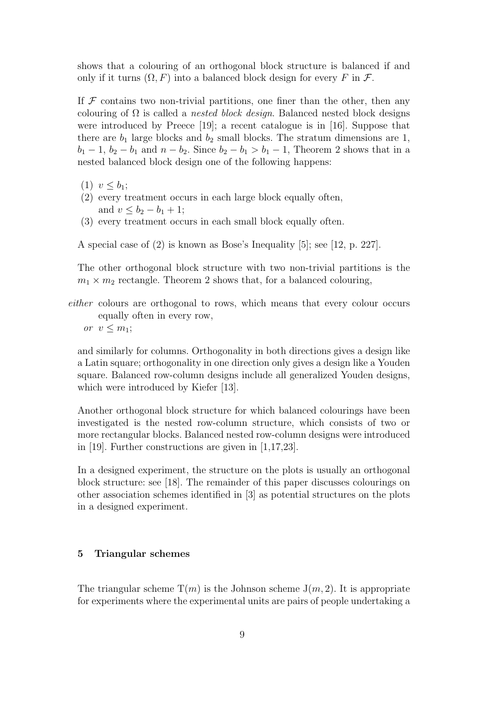shows that a colouring of an orthogonal block structure is balanced if and only if it turns  $(\Omega, F)$  into a balanced block design for every F in F.

If  $F$  contains two non-trivial partitions, one finer than the other, then any colouring of  $\Omega$  is called a *nested block design*. Balanced nested block designs were introduced by Preece [19]; a recent catalogue is in [16]. Suppose that there are  $b_1$  large blocks and  $b_2$  small blocks. The stratum dimensions are 1,  $b_1 - 1$ ,  $b_2 - b_1$  and  $n - b_2$ . Since  $b_2 - b_1 > b_1 - 1$ , Theorem 2 shows that in a nested balanced block design one of the following happens:

- $(1)$   $v < b_1$ ;
- (2) every treatment occurs in each large block equally often, and  $v \leq b_2 - b_1 + 1$ ;
- (3) every treatment occurs in each small block equally often.

A special case of (2) is known as Bose's Inequality [5]; see [12, p. 227].

The other orthogonal block structure with two non-trivial partitions is the  $m_1 \times m_2$  rectangle. Theorem 2 shows that, for a balanced colouring,

- either colours are orthogonal to rows, which means that every colour occurs equally often in every row,
	- or  $v \leq m_1$ ;

and similarly for columns. Orthogonality in both directions gives a design like a Latin square; orthogonality in one direction only gives a design like a Youden square. Balanced row-column designs include all generalized Youden designs, which were introduced by Kiefer [13].

Another orthogonal block structure for which balanced colourings have been investigated is the nested row-column structure, which consists of two or more rectangular blocks. Balanced nested row-column designs were introduced in [19]. Further constructions are given in [1,17,23].

In a designed experiment, the structure on the plots is usually an orthogonal block structure: see [18]. The remainder of this paper discusses colourings on other association schemes identified in [3] as potential structures on the plots in a designed experiment.

# 5 Triangular schemes

The triangular scheme  $T(m)$  is the Johnson scheme  $J(m, 2)$ . It is appropriate for experiments where the experimental units are pairs of people undertaking a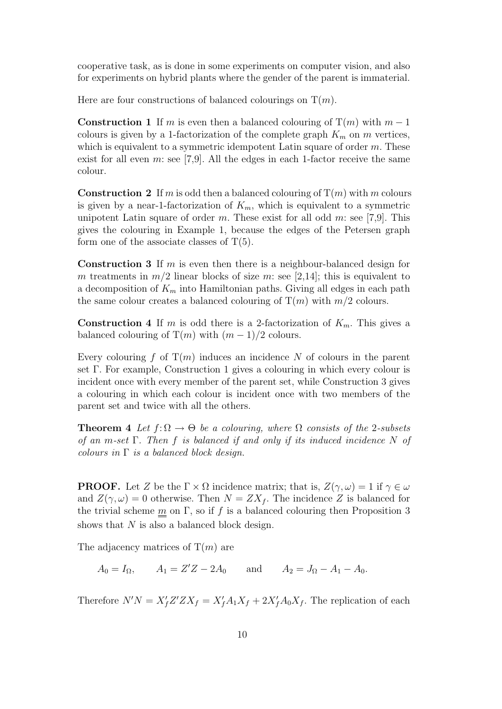cooperative task, as is done in some experiments on computer vision, and also for experiments on hybrid plants where the gender of the parent is immaterial.

Here are four constructions of balanced colourings on  $T(m)$ .

**Construction 1** If m is even then a balanced colouring of  $T(m)$  with  $m-1$ colours is given by a 1-factorization of the complete graph  $K_m$  on m vertices, which is equivalent to a symmetric idempotent Latin square of order  $m$ . These exist for all even m: see [7,9]. All the edges in each 1-factor receive the same colour.

**Construction 2** If m is odd then a balanced colouring of  $T(m)$  with m colours is given by a near-1-factorization of  $K_m$ , which is equivalent to a symmetric unipotent Latin square of order m. These exist for all odd m: see [7,9]. This gives the colouring in Example 1, because the edges of the Petersen graph form one of the associate classes of  $T(5)$ .

**Construction 3** If m is even then there is a neighbour-balanced design for m treatments in  $m/2$  linear blocks of size m: see [2,14]; this is equivalent to a decomposition of  $K_m$  into Hamiltonian paths. Giving all edges in each path the same colour creates a balanced colouring of  $T(m)$  with  $m/2$  colours.

**Construction 4** If m is odd there is a 2-factorization of  $K_m$ . This gives a balanced colouring of T(m) with  $(m-1)/2$  colours.

Every colouring f of  $T(m)$  induces an incidence N of colours in the parent set Γ. For example, Construction 1 gives a colouring in which every colour is incident once with every member of the parent set, while Construction 3 gives a colouring in which each colour is incident once with two members of the parent set and twice with all the others.

**Theorem 4** Let  $f: \Omega \to \Theta$  be a colouring, where  $\Omega$  consists of the 2-subsets of an m-set  $\Gamma$ . Then f is balanced if and only if its induced incidence N of colours in  $\Gamma$  is a balanced block design.

**PROOF.** Let Z be the  $\Gamma \times \Omega$  incidence matrix; that is,  $Z(\gamma,\omega) = 1$  if  $\gamma \in \omega$ and  $Z(\gamma,\omega) = 0$  otherwise. Then  $N = ZX_f$ . The incidence Z is balanced for the trivial scheme m on  $\Gamma$ , so if f is a balanced colouring then Proposition 3 shows that N is also a balanced block design.

The adjacency matrices of  $T(m)$  are

 $A_0 = I_\Omega$ ,  $A_1 = Z'Z - 2A_0$  and  $A_2 = J_\Omega - A_1 - A_0$ .

Therefore  $N'N = X_f'Z'ZX_f = X_f'A_1X_f + 2X_f'A_0X_f$ . The replication of each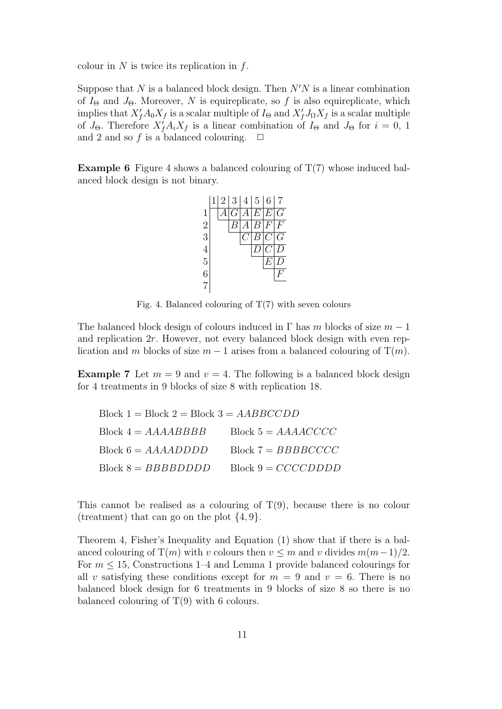colour in  $N$  is twice its replication in  $f$ .

Suppose that N is a balanced block design. Then  $N'N$  is a linear combination of  $I_{\Theta}$  and  $J_{\Theta}$ . Moreover, N is equireplicate, so f is also equireplicate, which implies that  $X_f'A_0X_f$  is a scalar multiple of  $I_{\Theta}$  and  $X_f'J_{\Omega}X_f$  is a scalar multiple of  $J_{\Theta}$ . Therefore  $X'_f A_i X_f$  is a linear combination of  $I_{\Theta}$  and  $J_{\Theta}$  for  $i = 0, 1$ and 2 and so f is a balanced colouring.  $\Box$ 

**Example 6** Figure 4 shows a balanced colouring of  $T(7)$  whose induced balanced block design is not binary.



Fig. 4. Balanced colouring of  $T(7)$  with seven colours

The balanced block design of colours induced in  $\Gamma$  has m blocks of size  $m-1$ and replication 2r. However, not every balanced block design with even replication and m blocks of size  $m-1$  arises from a balanced colouring of  $T(m)$ .

**Example 7** Let  $m = 9$  and  $v = 4$ . The following is a balanced block design for 4 treatments in 9 blocks of size 8 with replication 18.

| Block $1 = Block\ 2 = Block\ 3 = AABBCCDD$ |                      |
|--------------------------------------------|----------------------|
| Block $4 = AAAABBBB$                       | Block $5 = AAAACCCC$ |
| Block $6 = AAAADDDD$                       | Block $7 = BBBBCCCC$ |
| $Block 8 = BBBBDDDD$                       | Block $9 = CCCCDDDD$ |

This cannot be realised as a colouring of  $T(9)$ , because there is no colour (treatment) that can go on the plot  $\{4, 9\}$ .

Theorem 4, Fisher's Inequality and Equation (1) show that if there is a balanced colouring of T $(m)$  with v colours then  $v \leq m$  and v divides  $m(m-1)/2$ . For  $m \leq 15$ , Constructions 1–4 and Lemma 1 provide balanced colourings for all v satisfying these conditions except for  $m = 9$  and  $v = 6$ . There is no balanced block design for 6 treatments in 9 blocks of size 8 so there is no balanced colouring of  $T(9)$  with 6 colours.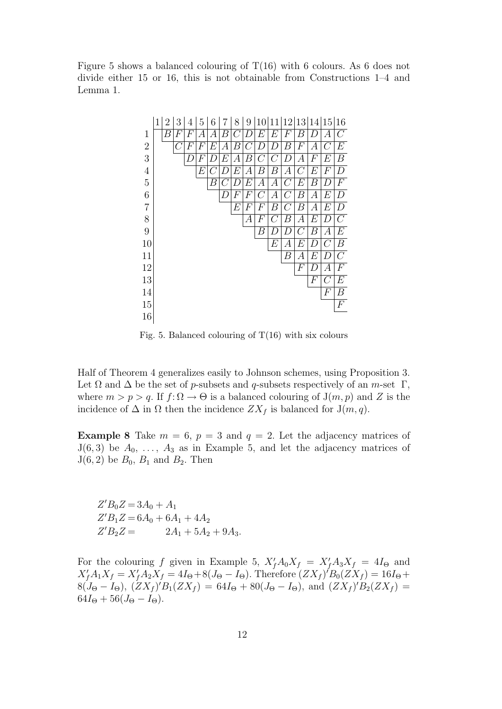Figure 5 shows a balanced colouring of  $T(16)$  with 6 colours. As 6 does not divide either 15 or 16, this is not obtainable from Constructions 1–4 and Lemma 1.



Fig. 5. Balanced colouring of  $T(16)$  with six colours

Half of Theorem 4 generalizes easily to Johnson schemes, using Proposition 3. Let  $\Omega$  and  $\Delta$  be the set of p-subsets and q-subsets respectively of an m-set  $\Gamma$ , where  $m > p > q$ . If  $f: \Omega \to \Theta$  is a balanced colouring of  $J(m, p)$  and Z is the incidence of  $\Delta$  in  $\Omega$  then the incidence  $ZX_f$  is balanced for  $J(m, q)$ .

**Example 8** Take  $m = 6$ ,  $p = 3$  and  $q = 2$ . Let the adjacency matrices of  $J(6,3)$  be  $A_0, \ldots, A_3$  as in Example 5, and let the adjacency matrices of  $J(6, 2)$  be  $B_0$ ,  $B_1$  and  $B_2$ . Then

 $Z'B_0Z = 3A_0 + A_1$  $Z'B_1Z = 6A_0 + 6A_1 + 4A_2$  $Z'B_2Z = 2A_1 + 5A_2 + 9A_3.$ 

For the colouring f given in Example 5,  $X_f'A_0X_f = X_f'A_3X_f = 4I_\Theta$  and  $X'_fA_1X_f = X'_fA_2X_f = 4I_\Theta + 8(J_\Theta - I_\Theta)$ . Therefore  $(ZX_f)^{'}B_0(ZX_f) = 16I_\Theta +$  $8(J_{\Theta}-I_{\Theta})$ ,  $(ZX_f)'B_1(ZX_f) = 64I_{\Theta} + 80(J_{\Theta}-I_{\Theta})$ , and  $(ZX_f)'B_2(ZX_f) =$  $64I_{\Theta} + 56(J_{\Theta} - I_{\Theta}).$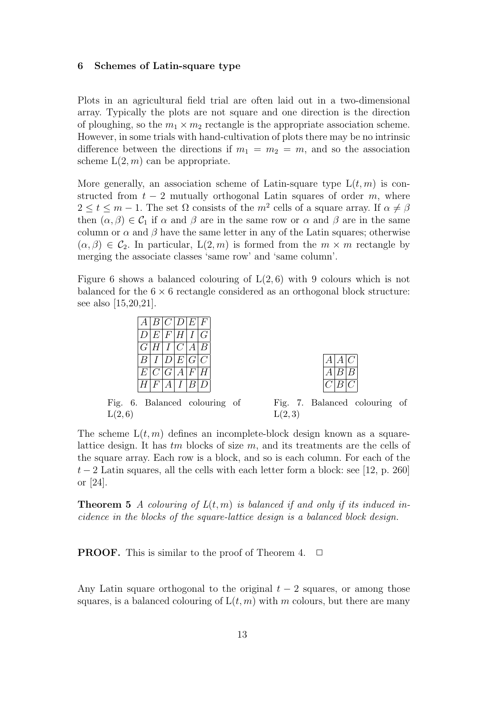#### 6 Schemes of Latin-square type

Plots in an agricultural field trial are often laid out in a two-dimensional array. Typically the plots are not square and one direction is the direction of ploughing, so the  $m_1 \times m_2$  rectangle is the appropriate association scheme. However, in some trials with hand-cultivation of plots there may be no intrinsic difference between the directions if  $m_1 = m_2 = m$ , and so the association scheme  $L(2, m)$  can be appropriate.

More generally, an association scheme of Latin-square type  $L(t, m)$  is constructed from  $t - 2$  mutually orthogonal Latin squares of order m, where  $2 \leq t \leq m-1$ . The set  $\Omega$  consists of the  $m^2$  cells of a square array. If  $\alpha \neq \beta$ then  $(\alpha, \beta) \in C_1$  if  $\alpha$  and  $\beta$  are in the same row or  $\alpha$  and  $\beta$  are in the same column or  $\alpha$  and  $\beta$  have the same letter in any of the Latin squares; otherwise  $(\alpha, \beta) \in C_2$ . In particular,  $L(2, m)$  is formed from the  $m \times m$  rectangle by merging the associate classes 'same row' and 'same column'.

Figure 6 shows a balanced colouring of  $L(2, 6)$  with 9 colours which is not balanced for the  $6 \times 6$  rectangle considered as an orthogonal block structure: see also [15,20,21].

|   | A B C D E F |     |     |                  |
|---|-------------|-----|-----|------------------|
| D | E F H I G   |     |     |                  |
|   | G H I C A   |     |     | $\boldsymbol{B}$ |
|   | B I D E G C |     |     |                  |
|   | E C G A F H |     |     |                  |
| H |             | F A | I B |                  |

Fig. 6. Balanced colouring of  $L(2, 6)$ 

Fig. 7. Balanced colouring of  $L(2, 3)$ 

The scheme  $L(t, m)$  defines an incomplete-block design known as a squarelattice design. It has  $tm$  blocks of size  $m$ , and its treatments are the cells of the square array. Each row is a block, and so is each column. For each of the  $t-2$  Latin squares, all the cells with each letter form a block: see [12, p. 260] or [24].

**Theorem 5** A colouring of  $L(t, m)$  is balanced if and only if its induced incidence in the blocks of the square-lattice design is a balanced block design.

**PROOF.** This is similar to the proof of Theorem 4.  $\Box$ 

Any Latin square orthogonal to the original  $t - 2$  squares, or among those squares, is a balanced colouring of  $L(t, m)$  with m colours, but there are many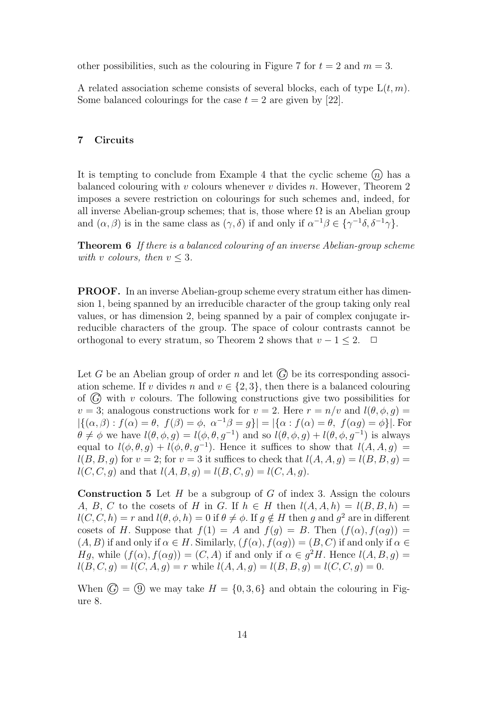other possibilities, such as the colouring in Figure 7 for  $t = 2$  and  $m = 3$ .

A related association scheme consists of several blocks, each of type  $L(t, m)$ . Some balanced colourings for the case  $t = 2$  are given by [22].

#### 7 Circuits

It is tempting to conclude from Example 4 that the cyclic scheme  $(n)$  has a balanced colouring with v colours whenever v divides n. However, Theorem 2 imposes a severe restriction on colourings for such schemes and, indeed, for all inverse Abelian-group schemes; that is, those where  $\Omega$  is an Abelian group and  $(\alpha, \beta)$  is in the same class as  $(\gamma, \delta)$  if and only if  $\alpha^{-1}\beta \in {\gamma^{-1}\delta, \delta^{-1}\gamma}$ .

Theorem 6 If there is a balanced colouring of an inverse Abelian-group scheme with v colours, then  $v \leq 3$ .

PROOF. In an inverse Abelian-group scheme every stratum either has dimension 1, being spanned by an irreducible character of the group taking only real values, or has dimension 2, being spanned by a pair of complex conjugate irreducible characters of the group. The space of colour contrasts cannot be orthogonal to every stratum, so Theorem 2 shows that  $v - 1 \leq 2$ .  $\Box$ 

Let G be an Abelian group of order n and let  $\mathbb G$  be its corresponding association scheme. If v divides n and  $v \in \{2,3\}$ , then there is a balanced colouring of  $(G)$  with v colours. The following constructions give two possibilities for  $v = 3$ ; analogous constructions work for  $v = 2$ . Here  $r = n/v$  and  $l(\theta, \phi, g) =$  $|\{(\alpha,\beta): f(\alpha)=\theta, f(\beta)=\phi, \alpha^{-1}\beta=g\}|=|\{\alpha: f(\alpha)=\theta, f(\alpha g)=\phi\}|.$  For  $\theta \neq \phi$  we have  $l(\theta, \phi, g) = l(\phi, \theta, g^{-1})$  and so  $l(\theta, \phi, g) + l(\theta, \phi, g^{-1})$  is always equal to  $l(\phi, \theta, g) + l(\phi, \theta, g^{-1})$ . Hence it suffices to show that  $l(A, A, g)$  $l(B, B, g)$  for  $v = 2$ ; for  $v = 3$  it suffices to check that  $l(A, A, g) = l(B, B, g)$  $l(C, C, g)$  and that  $l(A, B, g) = l(B, C, g) = l(C, A, g)$ .

**Construction 5** Let H be a subgroup of G of index 3. Assign the colours A, B, C to the cosets of H in G. If  $h \in H$  then  $l(A, A, h) = l(B, B, h)$  $l(C, C, h) = r$  and  $l(\theta, \phi, h) = 0$  if  $\theta \neq \phi$ . If  $g \notin H$  then g and  $g^2$  are in different cosets of H. Suppose that  $f(1) = A$  and  $f(q) = B$ . Then  $(f(\alpha), f(\alpha q)) =$  $(A, B)$  if and only if  $\alpha \in H$ . Similarly,  $(f(\alpha), f(\alpha q)) = (B, C)$  if and only if  $\alpha \in H$ . Hg, while  $(f(\alpha), f(\alpha g)) = (C, A)$  if and only if  $\alpha \in g^2H$ . Hence  $l(A, B, g) =$  $l(B, C, g) = l(C, A, g) = r$  while  $l(A, A, g) = l(B, B, g) = l(C, C, g) = 0.$ 

When  $\mathcal{G} = \mathcal{G}$  we may take  $H = \{0, 3, 6\}$  and obtain the colouring in Figure 8.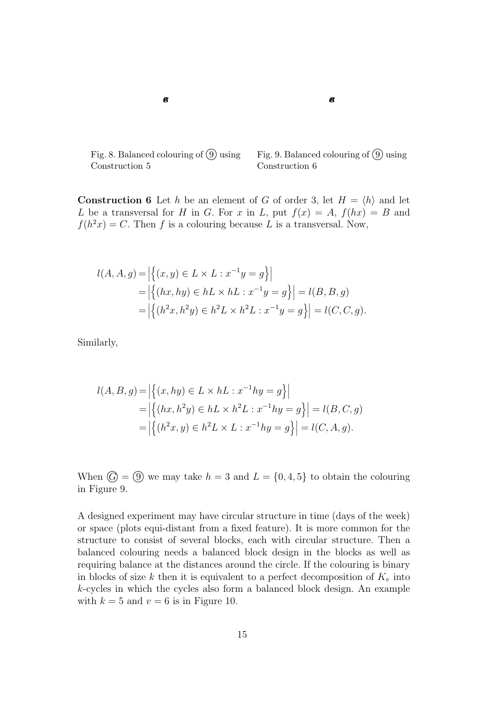

 $\boldsymbol{a}$ 

Fig. 9. Balanded colouring of 
$$
(9)
$$
 using Construction 6

 $\boldsymbol{B}$ 

**Construction 6** Let h be an element of G of order 3, let  $H = \langle h \rangle$  and let L be a transversal for H in G. For x in L, put  $f(x) = A$ ,  $f(hx) = B$  and  $f(h^2x) = C$ . Then f is a colouring because L is a transversal. Now,

$$
l(A, A, g) = \left| \left\{ (x, y) \in L \times L : x^{-1}y = g \right\} \right|
$$
  
=  $\left| \left\{ (hx, hy) \in hL \times hL : x^{-1}y = g \right\} \right| = l(B, B, g)$   
=  $\left| \left\{ (h^2x, h^2y) \in h^2L \times h^2L : x^{-1}y = g \right\} \right| = l(C, C, g).$ 

Similarly,

$$
l(A, B, g) = \left| \left\{ (x, hy) \in L \times hL : x^{-1}hy = g \right\} \right|
$$
  
=  $\left| \left\{ (hx, h^2y) \in hL \times h^2L : x^{-1}hy = g \right\} \right| = l(B, C, g)$   
=  $\left| \left\{ (h^2x, y) \in h^2L \times L : x^{-1}hy = g \right\} \right| = l(C, A, g).$ 

When  $\mathcal{G} = \mathcal{G}$  we may take  $h = 3$  and  $L = \{0, 4, 5\}$  to obtain the colouring in Figure 9.

A designed experiment may have circular structure in time (days of the week) or space (plots equi-distant from a fixed feature). It is more common for the structure to consist of several blocks, each with circular structure. Then a balanced colouring needs a balanced block design in the blocks as well as requiring balance at the distances around the circle. If the colouring is binary in blocks of size k then it is equivalent to a perfect decomposition of  $K_v$  into k-cycles in which the cycles also form a balanced block design. An example with  $k = 5$  and  $v = 6$  is in Figure 10.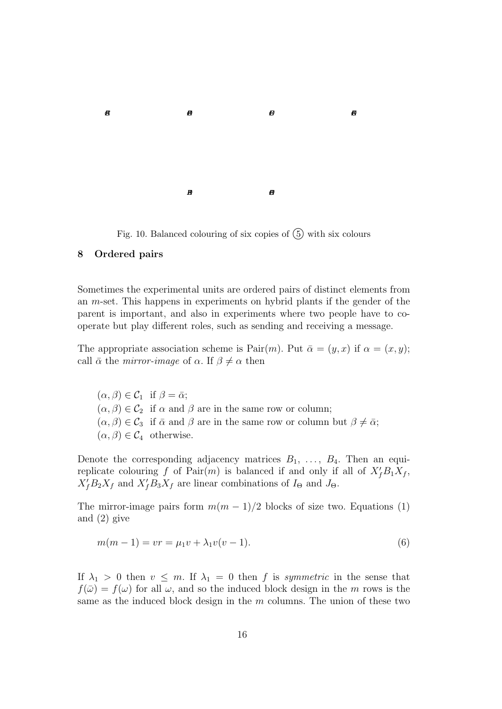

Fig. 10. Balanced colouring of six copies of  $\textcircled{\small{5}}$  with six colours

#### 8 Ordered pairs

Sometimes the experimental units are ordered pairs of distinct elements from an  $m$ -set. This happens in experiments on hybrid plants if the gender of the parent is important, and also in experiments where two people have to cooperate but play different roles, such as sending and receiving a message.

The appropriate association scheme is Pair $(m)$ . Put  $\bar{\alpha} = (y, x)$  if  $\alpha = (x, y)$ ; call  $\bar{\alpha}$  the *mirror-image* of  $\alpha$ . If  $\beta \neq \alpha$  then

 $(\alpha, \beta) \in C_1$  if  $\beta = \bar{\alpha}$ ;  $(\alpha, \beta) \in C_2$  if  $\alpha$  and  $\beta$  are in the same row or column;  $(\alpha, \beta) \in C_3$  if  $\bar{\alpha}$  and  $\beta$  are in the same row or column but  $\beta \neq \bar{\alpha}$ ;  $(\alpha, \beta) \in C_4$  otherwise.

Denote the corresponding adjacency matrices  $B_1, \ldots, B_4$ . Then an equireplicate colouring f of Pair $(m)$  is balanced if and only if all of  $X_f'B_1X_f$ ,  $X'_f B_2 X_f$  and  $X'_f B_3 X_f$  are linear combinations of  $I_{\Theta}$  and  $J_{\Theta}$ .

The mirror-image pairs form  $m(m-1)/2$  blocks of size two. Equations (1) and (2) give

$$
m(m-1) = vr = \mu_1 v + \lambda_1 v(v-1).
$$
\n(6)

If  $\lambda_1 > 0$  then  $v \leq m$ . If  $\lambda_1 = 0$  then f is symmetric in the sense that  $f(\bar{\omega}) = f(\omega)$  for all  $\omega$ , and so the induced block design in the m rows is the same as the induced block design in the m columns. The union of these two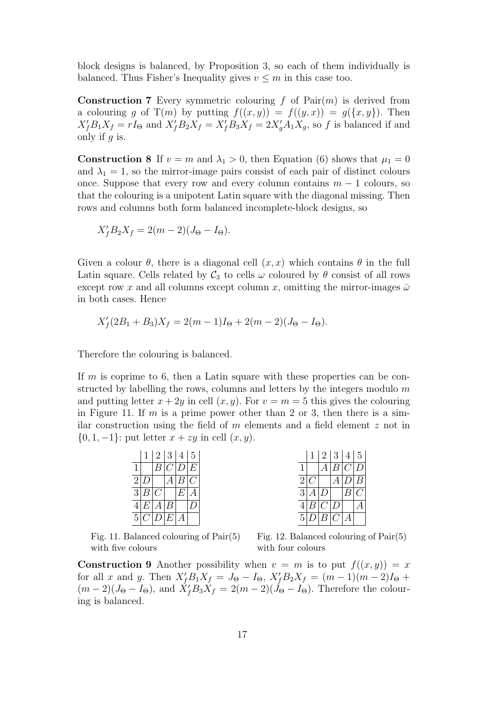block designs is balanced, by Proposition 3, so each of them individually is balanced. Thus Fisher's Inequality gives  $v \leq m$  in this case too.

**Construction 7** Every symmetric colouring f of Pair $(m)$  is derived from a colouring g of T(m) by putting  $f((x, y)) = f((y, x)) = g({x, y})$ . Then  $X'_f B_1 X_f = r I_{\Theta}$  and  $X'_f B_2 X_f = X'_f B_3 X_f = 2 X'_g A_1 X_g$ , so f is balanced if and only if  $g$  is.

**Construction 8** If  $v = m$  and  $\lambda_1 > 0$ , then Equation (6) shows that  $\mu_1 = 0$ and  $\lambda_1 = 1$ , so the mirror-image pairs consist of each pair of distinct colours once. Suppose that every row and every column contains  $m - 1$  colours, so that the colouring is a unipotent Latin square with the diagonal missing. Then rows and columns both form balanced incomplete-block designs, so

$$
X'_f B_2 X_f = 2(m-2)(J_\Theta - I_\Theta).
$$

Given a colour  $\theta$ , there is a diagonal cell  $(x, x)$  which contains  $\theta$  in the full Latin square. Cells related by  $\mathcal{C}_3$  to cells  $\omega$  coloured by  $\theta$  consist of all rows except row x and all columns except column x, omitting the mirror-images  $\bar{\omega}$ in both cases. Hence

$$
X'_f(2B_1 + B_3)X_f = 2(m-1)I_\Theta + 2(m-2)(J_\Theta - I_\Theta).
$$

Therefore the colouring is balanced.

If  $m$  is coprime to 6, then a Latin square with these properties can be constructed by labelling the rows, columns and letters by the integers modulo  $m$ and putting letter  $x + 2y$  in cell  $(x, y)$ . For  $v = m = 5$  this gives the colouring in Figure 11. If m is a prime power other than 2 or 3, then there is a similar construction using the field of  $m$  elements and a field element  $z$  not in  $\{0, 1, -1\}$ : put letter  $x + zy$  in cell  $(x, y)$ .

|                |   | $\overline{2}$ | 3 | $+4$ | $\overline{5}$ |   | $\overline{2}$ | 3 | $\pm$ | G, |
|----------------|---|----------------|---|------|----------------|---|----------------|---|-------|----|
| 1              |   |                |   |      | E              |   |                |   |       |    |
| $\overline{2}$ |   |                |   |      |                |   |                |   |       |    |
| 3              |   |                |   | E    | А              | 3 |                |   |       |    |
|                | E |                |   |      |                | 4 |                |   |       |    |
| ц              |   |                | E |      |                | 5 |                |   |       |    |

Fig. 11. Balanced colouring of Pair(5) with five colours

Fig. 12. Balanced colouring of Pair(5) with four colours

**Construction 9** Another possibility when  $v = m$  is to put  $f((x, y)) = x$ for all x and y. Then  $X'_f B_1 X_f = J_\Theta - I_\Theta$ ,  $X'_f B_2 X_f = (m-1)(m-2)I_\Theta +$  $(m-2)(J_{\Theta}-I_{\Theta})$ , and  $\dot{X}'_fB_3X_f = 2(m-2)(J_{\Theta}-I_{\Theta})$ . Therefore the colouring is balanced.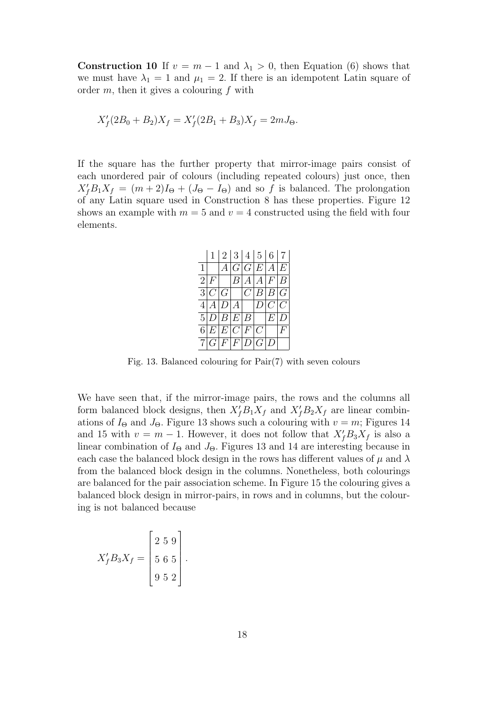**Construction 10** If  $v = m - 1$  and  $\lambda_1 > 0$ , then Equation (6) shows that we must have  $\lambda_1 = 1$  and  $\mu_1 = 2$ . If there is an idempotent Latin square of order  $m$ , then it gives a colouring  $f$  with

$$
X_f'(2B_0 + B_2)X_f = X_f'(2B_1 + B_3)X_f = 2mJ_{\Theta}.
$$

If the square has the further property that mirror-image pairs consist of each unordered pair of colours (including repeated colours) just once, then  $X'_f B_1 X_f = (m+2)I_\Theta + (J_\Theta - I_\Theta)$  and so f is balanced. The prolongation of any Latin square used in Construction 8 has these properties. Figure 12 shows an example with  $m = 5$  and  $v = 4$  constructed using the field with four elements.

|   |     |         | 1 2 3 4 5 6 7             |       |                  |
|---|-----|---------|---------------------------|-------|------------------|
| 1 |     |         | A G G E A E               |       |                  |
|   | 2 F |         | B A A F B                 |       |                  |
|   |     |         | $3 C G $ $ C B B G$       |       |                  |
|   |     | 4 A D A |                           | D C C |                  |
|   |     |         | 5 D B E B                 | E D   |                  |
|   |     |         | $6 E E C F \overline{C} $ |       | $\boldsymbol{F}$ |
|   |     |         | 7 G F F D G D             |       |                  |

Fig. 13. Balanced colouring for Pair(7) with seven colours

We have seen that, if the mirror-image pairs, the rows and the columns all form balanced block designs, then  $X_f B_1 X_f$  and  $X_f B_2 X_f$  are linear combinations of  $I_{\Theta}$  and  $J_{\Theta}$ . Figure 13 shows such a colouring with  $v = m$ ; Figures 14 and 15 with  $v = m - 1$ . However, it does not follow that  $X_f B_3 X_f$  is also a linear combination of  $I_{\Theta}$  and  $J_{\Theta}$ . Figures 13 and 14 are interesting because in each case the balanced block design in the rows has different values of  $\mu$  and  $\lambda$ from the balanced block design in the columns. Nonetheless, both colourings are balanced for the pair association scheme. In Figure 15 the colouring gives a balanced block design in mirror-pairs, in rows and in columns, but the colouring is not balanced because

$$
X'_{f} B_{3} X_{f} = \begin{bmatrix} 2 & 5 & 9 \\ 5 & 6 & 5 \\ 9 & 5 & 2 \end{bmatrix}.
$$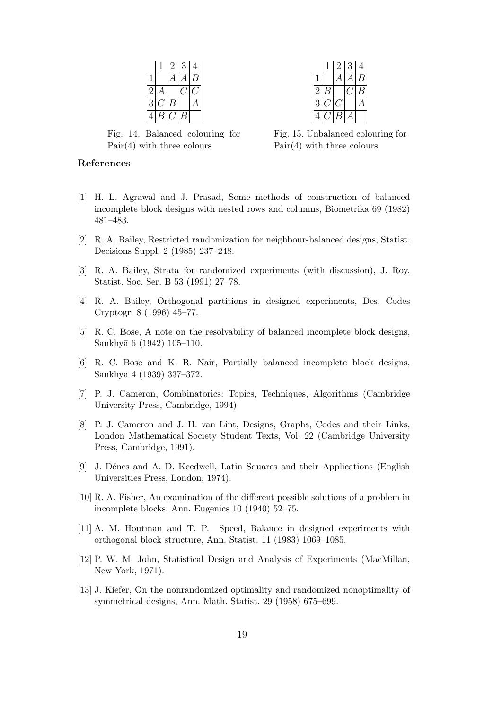|   | 2 <sub>1</sub> | 3 | 4 |  |
|---|----------------|---|---|--|
|   | F              | Þ |   |  |
| 2 |                |   |   |  |
| 3 |                |   |   |  |
|   | Ι,             |   |   |  |

 $1 | 2 | 3 | 4$  $1 \mid A | A | B$  $2|B|$   $|C|B$  $3|C|C|$  | A  $\, B$ 

Fig. 14. Balanced colouring for Pair(4) with three colours

Fig. 15. Unbalanced colouring for Pair(4) with three colours

# References

- [1] H. L. Agrawal and J. Prasad, Some methods of construction of balanced incomplete block designs with nested rows and columns, Biometrika 69 (1982) 481–483.
- [2] R. A. Bailey, Restricted randomization for neighbour-balanced designs, Statist. Decisions Suppl. 2 (1985) 237–248.
- [3] R. A. Bailey, Strata for randomized experiments (with discussion), J. Roy. Statist. Soc. Ser. B 53 (1991) 27–78.
- [4] R. A. Bailey, Orthogonal partitions in designed experiments, Des. Codes Cryptogr. 8 (1996) 45–77.
- [5] R. C. Bose, A note on the resolvability of balanced incomplete block designs, Sankhyā 6 (1942) 105–110.
- [6] R. C. Bose and K. R. Nair, Partially balanced incomplete block designs, Sankhyā 4 (1939) 337-372.
- [7] P. J. Cameron, Combinatorics: Topics, Techniques, Algorithms (Cambridge University Press, Cambridge, 1994).
- [8] P. J. Cameron and J. H. van Lint, Designs, Graphs, Codes and their Links, London Mathematical Society Student Texts, Vol. 22 (Cambridge University Press, Cambridge, 1991).
- [9] J. Dénes and A. D. Keedwell, Latin Squares and their Applications (English Universities Press, London, 1974).
- [10] R. A. Fisher, An examination of the different possible solutions of a problem in incomplete blocks, Ann. Eugenics 10 (1940) 52–75.
- [11] A. M. Houtman and T. P. Speed, Balance in designed experiments with orthogonal block structure, Ann. Statist. 11 (1983) 1069–1085.
- [12] P. W. M. John, Statistical Design and Analysis of Experiments (MacMillan, New York, 1971).
- [13] J. Kiefer, On the nonrandomized optimality and randomized nonoptimality of symmetrical designs, Ann. Math. Statist. 29 (1958) 675–699.